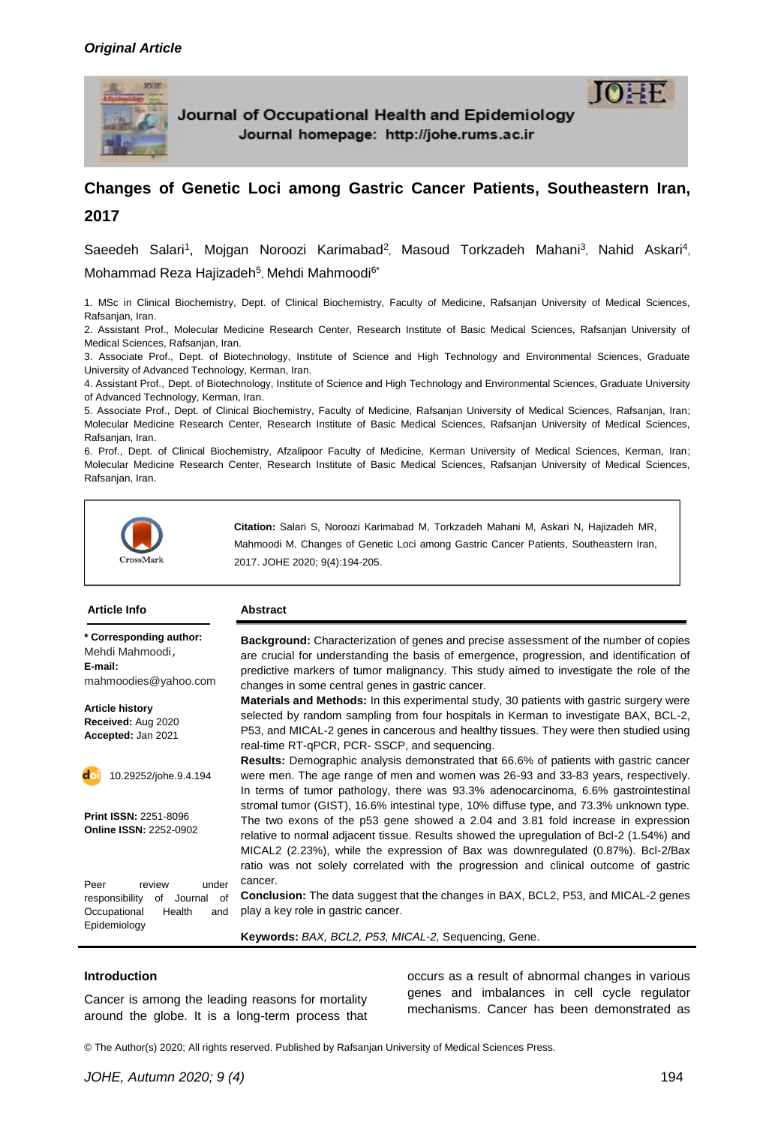

Journal of Occupational Health and Epidemiology Journal homepage: http://johe.rums.ac.ir

# **Changes of Genetic Loci among Gastric Cancer Patients, Southeastern Iran, 2017**

Saeedeh Salari<sup>1</sup>, Mojgan Noroozi Karimabad<sup>2</sup>, Masoud Torkzadeh Mahani<sup>3</sup>, Nahid Askari<sup>4</sup>, Mohammad Reza Hajizadeh<sup>5</sup>, Mehdi Mahmoodi<sup>6\*</sup>

1. MSc in Clinical Biochemistry, Dept. of Clinical Biochemistry, Faculty of Medicine, Rafsanjan University of Medical Sciences, Rafsanjan, Iran.

2. Assistant Prof., Molecular Medicine Research Center, Research Institute of Basic Medical Sciences, Rafsanjan University of Medical Sciences, Rafsanjan, Iran.

3. Associate Prof., Dept. of Biotechnology, Institute of Science and High Technology and Environmental Sciences, Graduate University of Advanced Technology, Kerman, Iran.

4. Assistant Prof., Dept. of Biotechnology, Institute of Science and High Technology and Environmental Sciences, Graduate University of Advanced Technology, Kerman, Iran.

5. Associate Prof., Dept. of Clinical Biochemistry, Faculty of Medicine, Rafsanjan University of Medical Sciences, Rafsanjan, Iran; Molecular Medicine Research Center, Research Institute of Basic Medical Sciences, Rafsanjan University of Medical Sciences, Rafsanjan, Iran.

6. Prof., Dept. of Clinical Biochemistry, Afzalipoor Faculty of Medicine, Kerman University of Medical Sciences, Kerman, Iran; Molecular Medicine Research Center, Research Institute of Basic Medical Sciences, Rafsanjan University of Medical Sciences, Rafsanjan, Iran.



**Citation:** Salari S, Noroozi Karimabad M, Torkzadeh Mahani M, Askari N, Hajizadeh MR, Mahmoodi M. Changes of Genetic Loci among Gastric Cancer Patients, Southeastern Iran, 2017. JOHE 2020; 9(4):194-205.

#### **Article Info Abstract**

**\* Corresponding author:** Mehdi Mahmoodi, **E-mail:** [mahmoodies@yahoo.com](mailto:mahmoodies@yahoo.com)

**Article history Received:** Aug 2020 **Accepted:** Jan 2021



**Print ISSN:** 2251-8096 **Online ISSN:** 2252-0902

Peer review under responsibility of Journal of Occupational Health and Epidemiology

**Background:** Characterization of genes and precise assessment of the number of copies are crucial for understanding the basis of emergence, progression, and identification of predictive markers of tumor malignancy. This study aimed to investigate the role of the changes in some central genes in gastric cancer.

**Materials and Methods:** In this experimental study, 30 patients with gastric surgery were selected by random sampling from four hospitals in Kerman to investigate BAX, BCL-2, P53, and MICAL-2 genes in cancerous and healthy tissues. They were then studied using real-time RT-qPCR, PCR- SSCP, and sequencing.

**Results:** Demographic analysis demonstrated that 66.6% of patients with gastric cancer were men. The age range of men and women was 26-93 and 33-83 years, respectively. In terms of tumor pathology, there was 93.3% adenocarcinoma, 6.6% gastrointestinal stromal tumor (GIST), 16.6% intestinal type, 10% diffuse type, and 73.3% unknown type. The two exons of the p53 gene showed a 2.04 and 3.81 fold increase in expression relative to normal adjacent tissue. Results showed the upregulation of Bcl-2 (1.54%) and MICAL2 (2.23%), while the expression of Bax was downregulated (0.87%). Bcl-2/Bax ratio was not solely correlated with the progression and clinical outcome of gastric cancer.

**Conclusion:** The data suggest that the changes in BAX, BCL2, P53, and MICAL-2 genes play a key role in gastric cancer.

**Keywords:** *BAX, BCL2, P53, MICAL-2,* Sequencing, Gene.

#### **Introduction**

Cancer is among the leading reasons for mortality around the globe. It is a long-term process that occurs as a result of abnormal changes in various genes and imbalances in cell cycle regulator mechanisms. Cancer has been demonstrated as

© The Author(s) 2020; All rights reserved. Published by Rafsanjan University of Medical Sciences Press.

 $10 \pm F$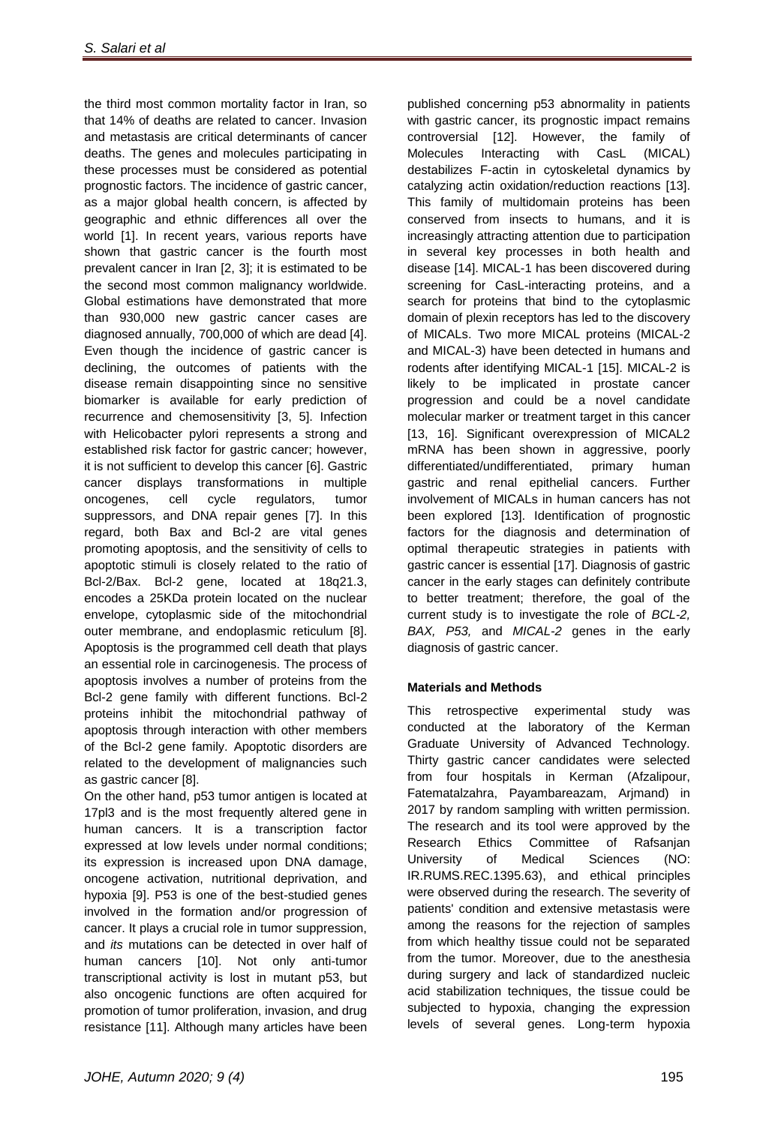the third most common mortality factor in Iran, so that 14% of deaths are related to cancer. Invasion and metastasis are critical determinants of cancer deaths. The genes and molecules participating in these processes must be considered as potential prognostic factors. The incidence of gastric cancer, as a major global health concern, is affected by geographic and ethnic differences all over the world [\[1\]](#page-10-0). In recent years, various reports have shown that gastric cancer is the fourth most prevalent cancer in Iran [\[2,](#page-10-1) [3\]](#page-10-2); it is estimated to be the second most common malignancy worldwide. Global estimations have demonstrated that more than 930,000 new gastric cancer cases are diagnosed annually, 700,000 of which are dead [\[4\]](#page-10-3). Even though the incidence of gastric cancer is declining, the outcomes of patients with the disease remain disappointing since no sensitive biomarker is available for early prediction of recurrence and chemosensitivity [\[3,](#page-10-2) [5\]](#page-10-4). Infection with Helicobacter pylori represents a strong and established risk factor for gastric cancer; however, it is not sufficient to develop this cancer [\[6\]](#page-10-5). Gastric cancer displays transformations in multiple oncogenes, cell cycle regulators, tumor suppressors, and DNA repair genes [\[7\]](#page-10-6). In this regard, both Bax and Bcl-2 are vital genes promoting apoptosis, and the sensitivity of cells to apoptotic stimuli is closely related to the ratio of Bcl-2/Bax. Bcl-2 gene, located at 18q21.3, encodes a 25KDa protein located on the nuclear envelope, cytoplasmic side of the mitochondrial outer membrane, and endoplasmic reticulum [\[8\]](#page-10-7). Apoptosis is the programmed cell death that plays an essential role in carcinogenesis. The process of apoptosis involves a number of proteins from the Bcl-2 gene family with different functions. Bcl-2 proteins inhibit the mitochondrial pathway of apoptosis through interaction with other members of the Bcl-2 gene family. Apoptotic disorders are related to the development of malignancies such as gastric cancer [\[8\]](#page-10-7).

On the other hand, p53 tumor antigen is located at 17pl3 and is the most frequently altered gene in human cancers. It is a transcription factor expressed at low levels under normal conditions; its expression is increased upon DNA damage, oncogene activation, nutritional deprivation, and hypoxia [\[9\]](#page-10-8). P53 is one of the best-studied genes involved in the formation and/or progression of cancer. It plays a crucial role in tumor suppression, and *its* mutations can be detected in over half of human cancers [\[10\]](#page-10-9). Not only anti-tumor transcriptional activity is lost in mutant p53, but also oncogenic functions are often acquired for promotion of tumor proliferation, invasion, and drug resistance [\[11\]](#page-10-10). Although many articles have been

published concerning p53 abnormality in patients with gastric cancer, its prognostic impact remains controversial [\[12\]](#page-10-11). However, the family of Molecules Interacting with CasL (MICAL) destabilizes F-actin in cytoskeletal dynamics by catalyzing actin oxidation/reduction reactions [\[13\]](#page-10-12). This family of multidomain proteins has been conserved from insects to humans, and it is increasingly attracting attention due to participation in several key processes in both health and disease [\[14\]](#page-10-13). MICAL-1 has been discovered during screening for CasL-interacting proteins, and a search for proteins that bind to the cytoplasmic domain of plexin receptors has led to the discovery of MICALs. Two more MICAL proteins (MICAL-2 and MICAL-3) have been detected in humans and rodents after identifying MICAL-1 [\[15\]](#page-10-14). MICAL-2 is likely to be implicated in prostate cancer progression and could be a novel candidate molecular marker or treatment target in this cancer [\[13,](#page-10-12) [16\]](#page-10-15). Significant overexpression of MICAL2 mRNA has been shown in aggressive, poorly differentiated/undifferentiated, primary human gastric and renal epithelial cancers. Further involvement of MICALs in human cancers has not been explored [\[13\]](#page-10-12). Identification of prognostic factors for the diagnosis and determination of optimal therapeutic strategies in patients with gastric cancer is essential [\[17\]](#page-11-0). Diagnosis of gastric cancer in the early stages can definitely contribute to better treatment; therefore, the goal of the current study is to investigate the role of *BCL-2, BAX, P53,* and *MICAL-2* genes in the early diagnosis of gastric cancer.

# **Materials and Methods**

This retrospective experimental study was conducted at the laboratory of the Kerman Graduate University of Advanced Technology. Thirty gastric cancer candidates were selected from four hospitals in Kerman (Afzalipour, Fatematalzahra, Payambareazam, Arjmand) in 2017 by random sampling with written permission. The research and its tool were approved by the Research Ethics Committee of Rafsanjan University of Medical Sciences (NO: IR.RUMS.REC.1395.63), and ethical principles were observed during the research. The severity of patients' condition and extensive metastasis were among the reasons for the rejection of samples from which healthy tissue could not be separated from the tumor. Moreover, due to the anesthesia during surgery and lack of standardized nucleic acid stabilization techniques, the tissue could be subjected to hypoxia, changing the expression levels of several genes. Long-term hypoxia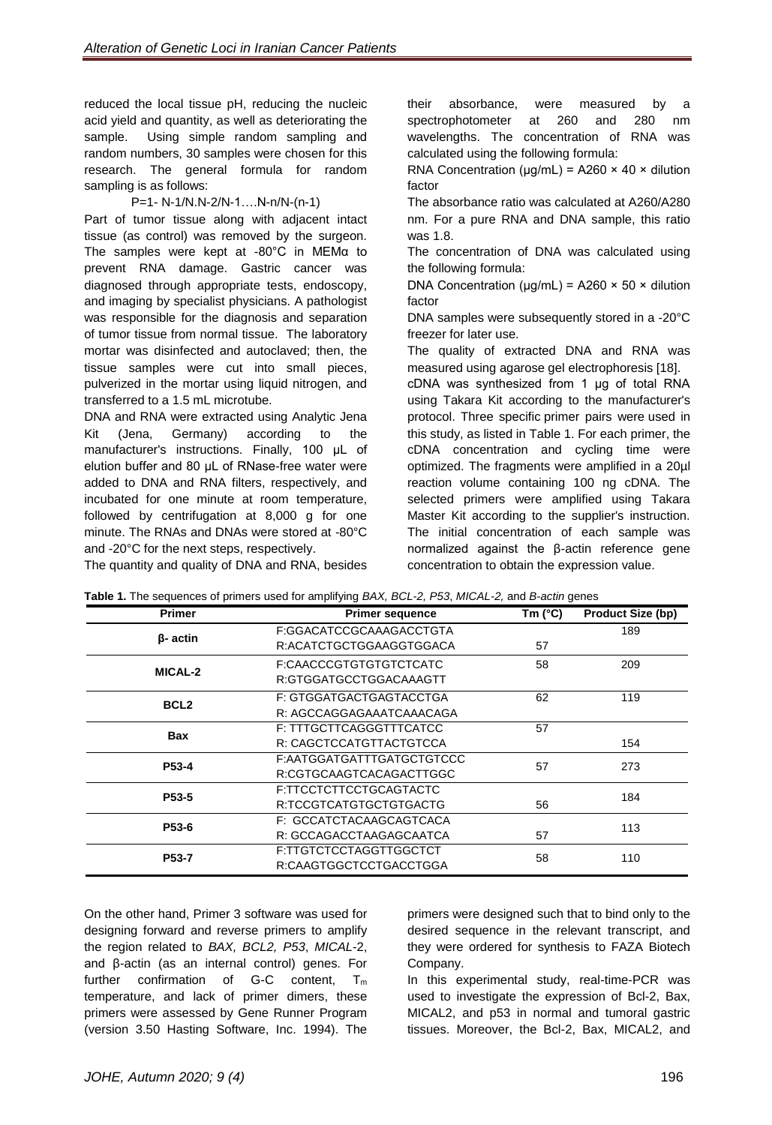reduced the local tissue pH, reducing the nucleic acid yield and quantity, as well as deteriorating the sample. Using simple random sampling and random numbers, 30 samples were chosen for this research. The general formula for random sampling is as follows:

#### P=1- N-1/N.N-2/N-1….N-n/N-(n-1)

Part of tumor tissue along with adjacent intact tissue (as control) was removed by the surgeon. The samples were kept at -80°C in MEMα to prevent RNA damage. Gastric cancer was diagnosed through appropriate tests, endoscopy, and imaging by specialist physicians. A pathologist was responsible for the diagnosis and separation of tumor tissue from normal tissue. The laboratory mortar was disinfected and autoclaved; then, the tissue samples were cut into small pieces, pulverized in the mortar using liquid nitrogen, and transferred to a 1.5 mL microtube.

DNA and RNA were extracted using Analytic Jena Kit (Jena, Germany) according to the manufacturer's instructions. Finally, 100 μL of elution buffer and 80 μL of RNase-free water were added to DNA and RNA filters, respectively, and incubated for one minute at room temperature, followed by centrifugation at 8,000 g for one minute. The RNAs and DNAs were stored at -80°C and -20°C for the next steps, respectively.

The quantity and quality of DNA and RNA, besides

their absorbance, were measured by a spectrophotometer at 260 and 280 nm wavelengths. The concentration of RNA was calculated using the following formula:

RNA Concentration ( $\mu$ g/mL) = A260 × 40 × dilution factor

The absorbance ratio was calculated at A260/A280 nm. For a pure RNA and DNA sample, this ratio was 1.8.

The concentration of DNA was calculated using the following formula:

DNA Concentration ( $\mu$ g/mL) = A260 × 50 × dilution factor

DNA samples were subsequently stored in a -20°C freezer for later use.

The quality of extracted DNA and RNA was measured using agarose gel electrophoresis [18].

cDNA was synthesized from 1 μg of total RNA using Takara Kit according to the manufacturer's protocol. Three specific primer pairs were used in this study, as listed in Table 1. For each primer, the cDNA concentration and cycling time were optimized. The fragments were amplified in a 20µl reaction volume containing 100 ng cDNA. The selected primers were amplified using Takara Master Kit according to the supplier's instruction. The initial concentration of each sample was normalized against the β-actin reference gene concentration to obtain the expression value.

| <b>Primer</b>      | <b>Primer sequence</b>    | Tm $(^{\circ}C)$ |     |
|--------------------|---------------------------|------------------|-----|
| $\beta$ - actin    | F:GGACATCCGCAAAGACCTGTA   |                  | 189 |
|                    | R:ACATCTGCTGGAAGGTGGACA   | 57               |     |
| <b>MICAL-2</b>     | F:CAACCCGTGTGTGTCTCATC    | 58               | 209 |
|                    | R:GTGGATGCCTGGACAAAGTT    |                  |     |
| BCL <sub>2</sub>   | F: GTGGATGACTGAGTACCTGA   | 62               | 119 |
|                    | R: AGCCAGGAGAAATCAAACAGA  |                  |     |
| <b>Bax</b>         | F: TTTGCTTCAGGGTTTCATCC   | 57               |     |
|                    | R: CAGCTCCATGTTACTGTCCA   |                  | 154 |
| P <sub>53</sub> -4 | F:AATGGATGATTTGATGCTGTCCC | 57               | 273 |
|                    | R:CGTGCAAGTCACAGACTTGGC   |                  |     |
| P <sub>53</sub> -5 | F:TTCCTCTTCCTGCAGTACTC    |                  | 184 |
|                    | R:TCCGTCATGTGCTGTGACTG    | 56               |     |
| P53-6              | F: GCCATCTACAAGCAGTCACA   |                  | 113 |
|                    | R: GCCAGACCTAAGAGCAATCA   | 57               |     |
| P53-7              | F:TTGTCTCCTAGGTTGGCTCT    | 58               | 110 |
|                    | R:CAAGTGGCTCCTGACCTGGA    |                  |     |

|  | Table 1. The sequences of primers used for amplifying BAX, BCL-2, P53, MICAL-2, and B-actin genes |  |  |  |  |  |
|--|---------------------------------------------------------------------------------------------------|--|--|--|--|--|

On the other hand, Primer 3 software was used for designing forward and reverse primers to amplify the region related to *BAX, BCL2, P53*, *MICAL*-2, and β-actin (as an internal control) genes. For further confirmation of G-C content,  $T_m$ temperature, and lack of primer dimers, these primers were assessed by Gene Runner Program (version 3.50 Hasting Software, Inc. 1994). The

primers were designed such that to bind only to the desired sequence in the relevant transcript, and they were ordered for synthesis to FAZA Biotech Company.

In this experimental study, real-time-PCR was used to investigate the expression of Bcl-2, Bax, MICAL2, and p53 in normal and tumoral gastric tissues. Moreover, the Bcl-2, Bax, MICAL2, and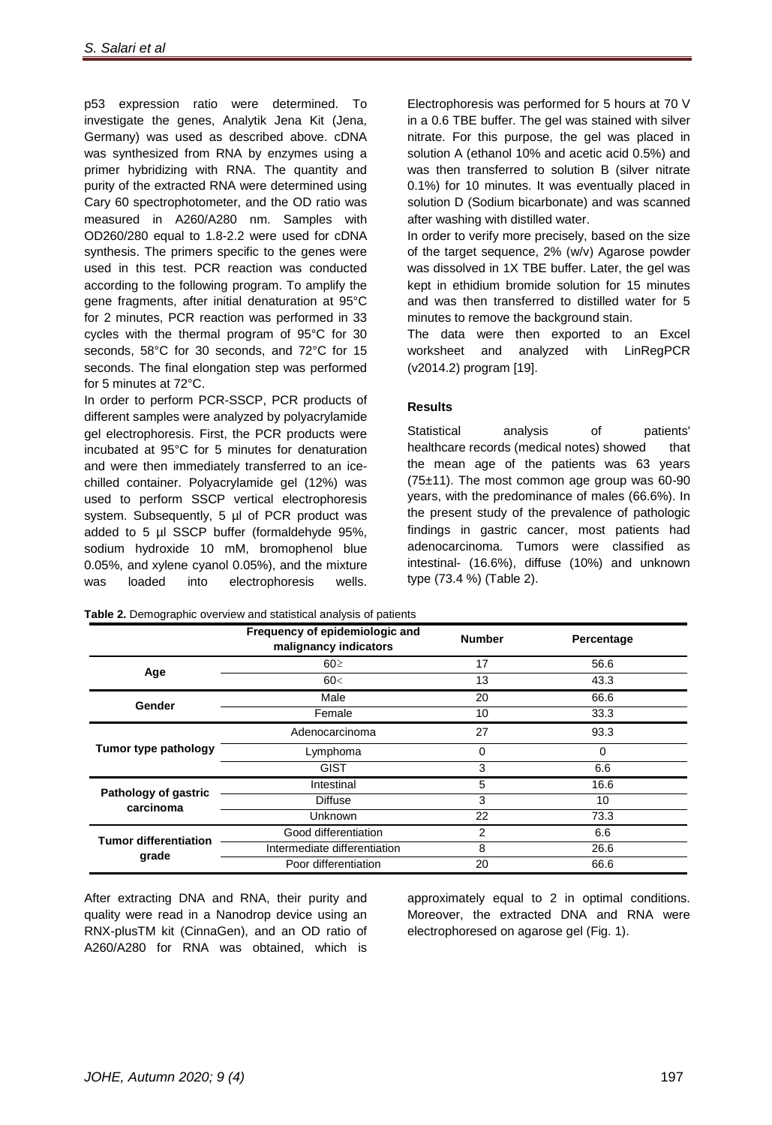p53 expression ratio were determined. To investigate the genes, Analytik Jena Kit (Jena, Germany) was used as described above. cDNA was synthesized from RNA by enzymes using a primer hybridizing with RNA. The quantity and purity of the extracted RNA were determined using Cary 60 spectrophotometer, and the OD ratio was measured in A260/A280 nm. Samples with OD260/280 equal to 1.8-2.2 were used for cDNA synthesis. The primers specific to the genes were used in this test. PCR reaction was conducted according to the following program. To amplify the gene fragments, after initial denaturation at 95°C for 2 minutes, PCR reaction was performed in 33 cycles with the thermal program of 95°C for 30 seconds, 58°C for 30 seconds, and 72°C for 15 seconds. The final elongation step was performed for 5 minutes at 72°C.

In order to perform PCR-SSCP, PCR products of different samples were analyzed by polyacrylamide gel electrophoresis. First, the PCR products were incubated at 95°C for 5 minutes for denaturation and were then immediately transferred to an icechilled container. Polyacrylamide gel (12%) was used to perform SSCP vertical electrophoresis system. Subsequently, 5 µl of PCR product was added to 5 µl SSCP buffer (formaldehyde 95%, sodium hydroxide 10 mM, bromophenol blue 0.05%, and xylene cyanol 0.05%), and the mixture was loaded into electrophoresis wells.

Electrophoresis was performed for 5 hours at 70 V in a 0.6 TBE buffer. The gel was stained with silver nitrate. For this purpose, the gel was placed in solution A (ethanol 10% and acetic acid 0.5%) and was then transferred to solution B (silver nitrate 0.1%) for 10 minutes. It was eventually placed in solution D (Sodium bicarbonate) and was scanned after washing with distilled water.

In order to verify more precisely, based on the size of the target sequence,  $2\%$  (w/v) Agarose powder was dissolved in 1X TBE buffer. Later, the gel was kept in ethidium bromide solution for 15 minutes and was then transferred to distilled water for 5 minutes to remove the background stain.

The data were then exported to an Excel worksheet and analyzed with LinRegPCR (v2014.2) program [19].

### **Results**

Statistical analysis of patients' healthcare records (medical notes) showed that the mean age of the patients was 63 years  $(75±11)$ . The most common age group was 60-90 years, with the predominance of males (66.6%). In the present study of the prevalence of pathologic findings in gastric cancer, most patients had adenocarcinoma. Tumors were classified as intestinal- (16.6%), diffuse (10%) and unknown type (73.4 %) (Table 2).

|                                          | Frequency of epidemiologic and<br>malignancy indicators | <b>Number</b> | Percentage |
|------------------------------------------|---------------------------------------------------------|---------------|------------|
| Age                                      | 60 <sup>5</sup>                                         | 17            | 56.6       |
|                                          | 60<                                                     | 13            | 43.3       |
| Gender                                   | Male                                                    | 20            | 66.6       |
|                                          | Female                                                  | 10            | 33.3       |
|                                          | Adenocarcinoma                                          | 27            | 93.3       |
| Tumor type pathology                     | Lymphoma                                                | 0             | 0          |
|                                          | <b>GIST</b>                                             | 3             | 6.6        |
|                                          | Intestinal                                              | 5             | 16.6       |
| <b>Pathology of gastric</b><br>carcinoma | <b>Diffuse</b>                                          | 3             | 10         |
|                                          | Unknown                                                 | 22            | 73.3       |
| <b>Tumor differentiation</b>             | Good differentiation                                    | 2             | 6.6        |
| grade                                    | Intermediate differentiation                            | 8             | 26.6       |
|                                          | Poor differentiation                                    | 20            | 66.6       |

**Table 2.** Demographic overview and statistical analysis of patients

After extracting DNA and RNA, their purity and quality were read in a Nanodrop device using an RNX-plusTM kit (CinnaGen), and an OD ratio of A260/A280 for RNA was obtained, which is

approximately equal to 2 in optimal conditions. Moreover, the extracted DNA and RNA were electrophoresed on agarose gel (Fig. 1).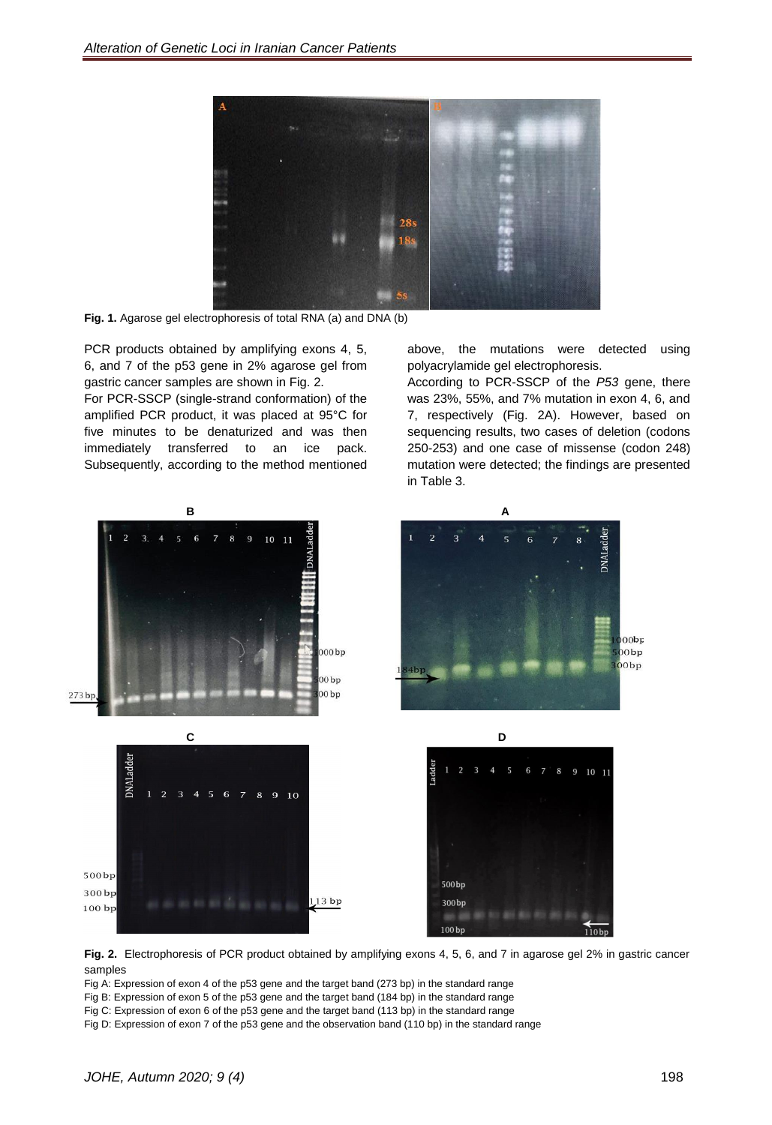

**Fig. 1.** Agarose gel electrophoresis of total RNA (a) and DNA (b)

PCR products obtained by amplifying exons 4, 5, 6, and 7 of the p53 gene in 2% agarose gel from gastric cancer samples are shown in Fig. 2.

For PCR-SSCP (single-strand conformation) of the amplified PCR product, it was placed at 95°C for five minutes to be denaturized and was then immediately transferred to an ice pack. Subsequently, according to the method mentioned above, the mutations were detected using polyacrylamide gel electrophoresis.

According to PCR-SSCP of the *P53* gene, there was 23%, 55%, and 7% mutation in exon 4, 6, and 7, respectively (Fig. 2A). However, based on sequencing results, two cases of deletion (codons 250-253) and one case of missense (codon 248) mutation were detected; the findings are presented in Table 3.



**Fig. 2.** Electrophoresis of PCR product obtained by amplifying exons 4, 5, 6, and 7 in agarose gel 2% in gastric cancer samples

Fig A: Expression of exon 4 of the p53 gene and the target band (273 bp) in the standard range

Fig B: Expression of exon 5 of the p53 gene and the target band (184 bp) in the standard range

Fig C: Expression of exon 6 of the p53 gene and the target band (113 bp) in the standard range

Fig D: Expression of exon 7 of the p53 gene and the observation band (110 bp) in the standard range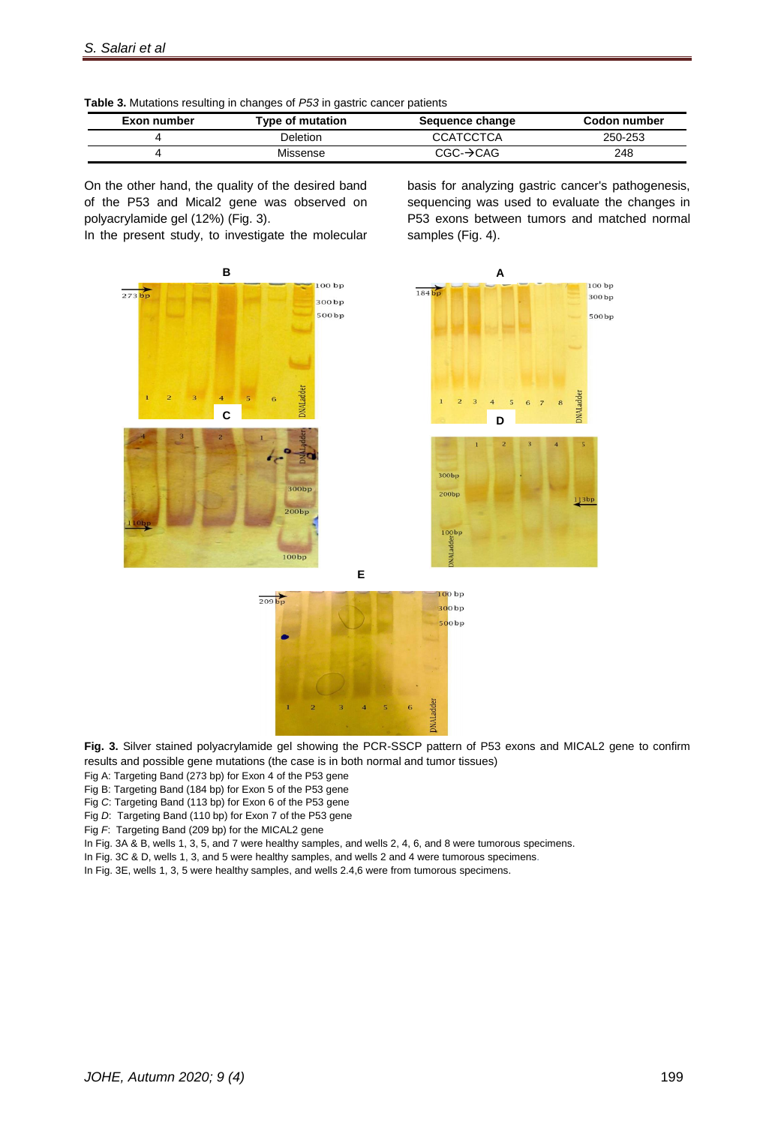

| Exon number | Type of mutation | Sequence change       | Codon number |
|-------------|------------------|-----------------------|--------------|
|             | Deletion         | <b>CCATCCTCA</b>      | 250-253      |
|             | Missense         | $CGC \rightarrow CAG$ | 248          |

On the other hand, the quality of the desired band of the P53 and Mical2 gene was observed on polyacrylamide gel (12%) (Fig. 3).

In the present study, to investigate the molecular

basis for analyzing gastric cancer's pathogenesis, sequencing was used to evaluate the changes in P53 exons between tumors and matched normal samples (Fig. 4).





**E**



**Fig. 3.** Silver stained polyacrylamide gel showing the PCR-SSCP pattern of P53 exons and MICAL2 gene to confirm results and possible gene mutations (the case is in both normal and tumor tissues)

Fig A: Targeting Band (273 bp) for Exon 4 of the P53 gene

Fig B: Targeting Band (184 bp) for Exon 5 of the P53 gene

Fig *C*: Targeting Band (113 bp) for Exon 6 of the P53 gene

Fig *D*: Targeting Band (110 bp) for Exon 7 of the P53 gene

Fig *F*: Targeting Band (209 bp) for the MICAL2 gene

In Fig. 3A & B, wells 1, 3, 5, and 7 were healthy samples, and wells 2, 4, 6, and 8 were tumorous specimens.

In Fig. 3C & D, wells 1, 3, and 5 were healthy samples, and wells 2 and 4 were tumorous specimens.

In Fig. 3E, wells 1, 3, 5 were healthy samples, and wells 2.4,6 were from tumorous specimens.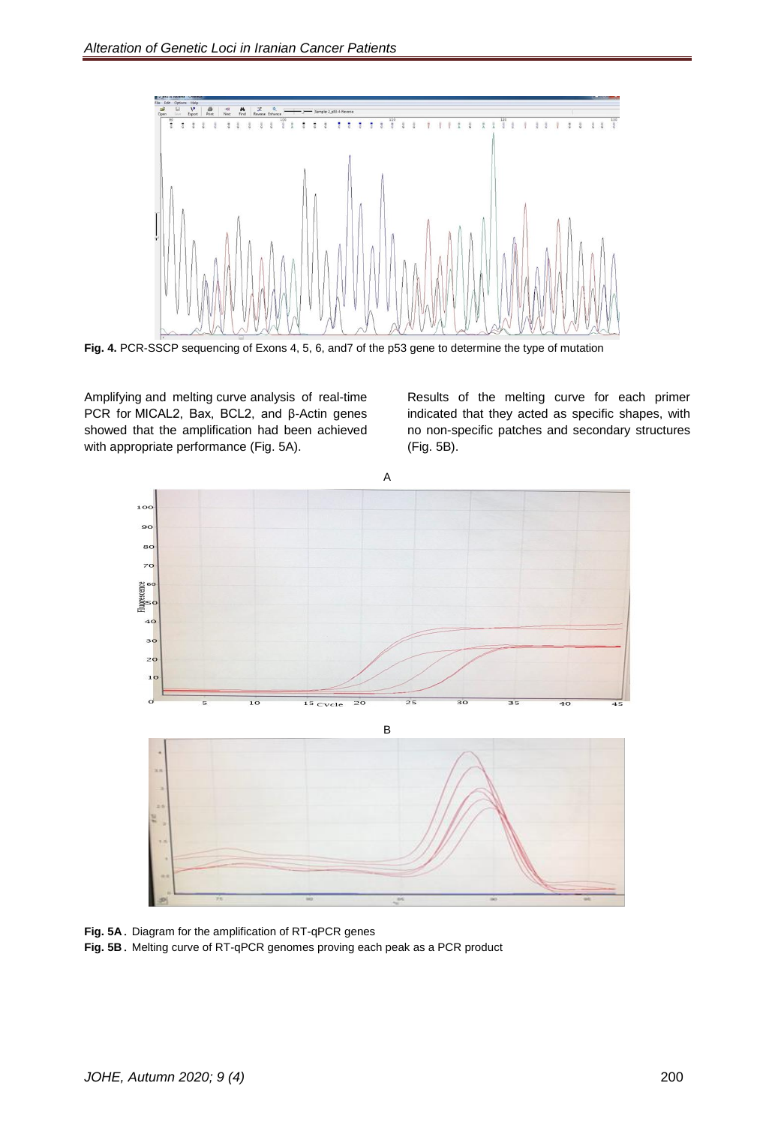

**Fig. 4.** PCR-SSCP sequencing of Exons 4, 5, 6, and7 of the p53 gene to determine the type of mutation

Amplifying and melting curve analysis of real-time PCR for MICAL2, Bax, BCL2, and β-Actin genes showed that the amplification had been achieved with appropriate performance (Fig. 5A).

Results of the melting curve for each primer indicated that they acted as specific shapes, with no non-specific patches and secondary structures (Fig. 5B).



**Fig. 5A**. Diagram for the amplification of RT-qPCR genes

**Fig. 5B**. Melting curve of RT-qPCR genomes proving each peak as a PCR product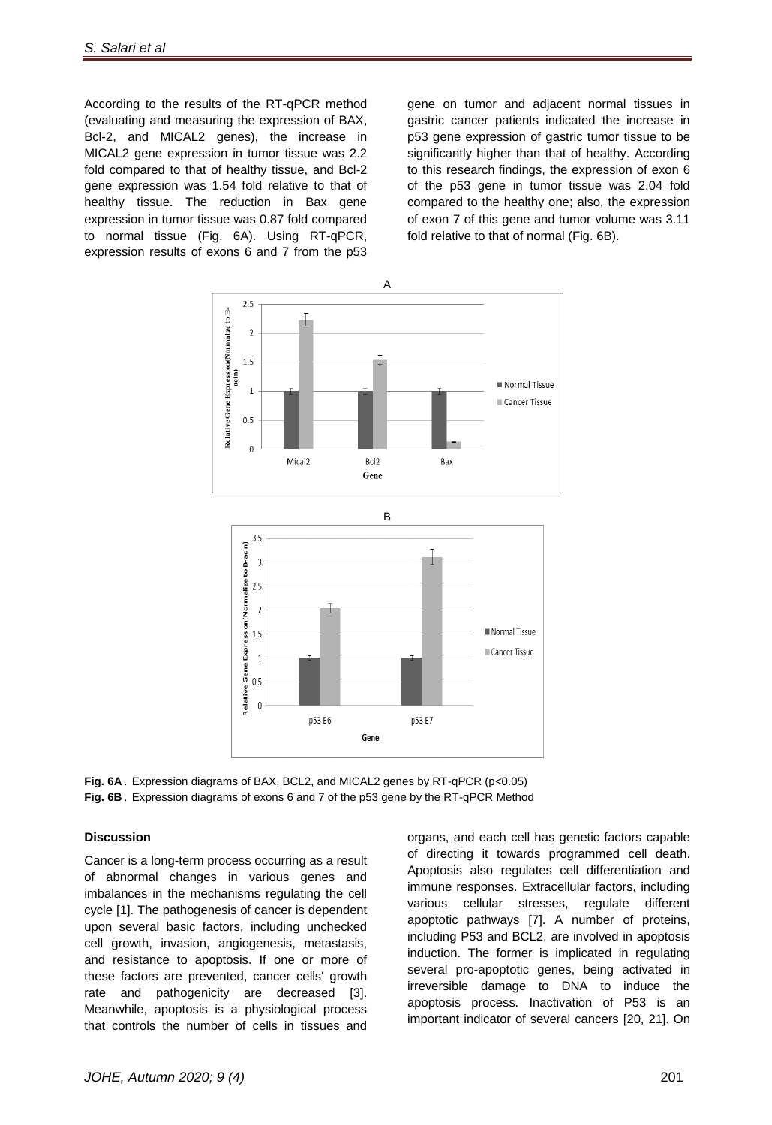According to the results of the RT-qPCR method (evaluating and measuring the expression of BAX, Bcl-2, and MICAL2 genes), the increase in MICAL2 gene expression in tumor tissue was 2.2 fold compared to that of healthy tissue, and Bcl-2 gene expression was 1.54 fold relative to that of healthy tissue. The reduction in Bax gene expression in tumor tissue was 0.87 fold compared to normal tissue (Fig. 6A). Using RT-qPCR, expression results of exons 6 and 7 from the p53

gene on tumor and adjacent normal tissues in gastric cancer patients indicated the increase in p53 gene expression of gastric tumor tissue to be significantly higher than that of healthy. According to this research findings, the expression of exon 6 of the p53 gene in tumor tissue was 2.04 fold compared to the healthy one; also, the expression of exon 7 of this gene and tumor volume was 3.11 fold relative to that of normal (Fig. 6B).



**Fig. 6A.** Expression diagrams of BAX, BCL2, and MICAL2 genes by RT-qPCR (p<0.05) **Fig. 6B.** Expression diagrams of exons 6 and 7 of the p53 gene by the RT-qPCR Method

#### **Discussion**

Cancer is a long-term process occurring as a result of abnormal changes in various genes and imbalances in the mechanisms regulating the cell cycle [\[1\]](#page-10-0). The pathogenesis of cancer is dependent upon several basic factors, including unchecked cell growth, invasion, angiogenesis, metastasis, and resistance to apoptosis. If one or more of these factors are prevented, cancer cells' growth rate and pathogenicity are decreased [\[3\]](#page-10-2). Meanwhile, apoptosis is a physiological process that controls the number of cells in tissues and

organs, and each cell has genetic factors capable of directing it towards programmed cell death. Apoptosis also regulates cell differentiation and immune responses. Extracellular factors, including various cellular stresses, regulate different apoptotic pathways [\[7\]](#page-10-6). A number of proteins, including P53 and BCL2, are involved in apoptosis induction. The former is implicated in regulating several pro-apoptotic genes, being activated in irreversible damage to DNA to induce the apoptosis process. Inactivation of P53 is an important indicator of several cancers [20, 21]. On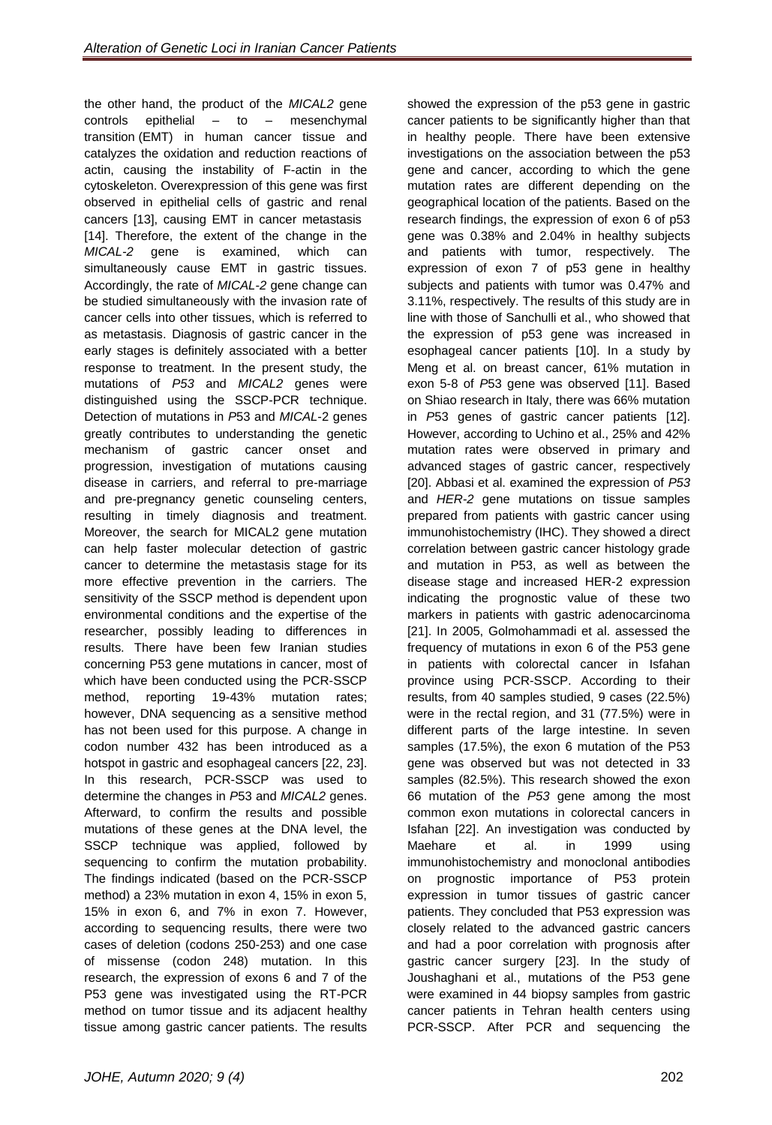the other hand, the product of the *MICAL2* gene controls epithelial – to – mesenchymal transition (EMT) in human cancer tissue and catalyzes the oxidation and reduction reactions of actin, causing the instability of F-actin in the cytoskeleton. Overexpression of this gene was first observed in epithelial cells of gastric and renal cancers [\[13\]](#page-10-12), causing EMT in cancer metastasis [\[14\]](#page-10-13). Therefore, the extent of the change in the *MICAL-2* gene is examined, which can simultaneously cause EMT in gastric tissues. Accordingly, the rate of *MICAL-2* gene change can be studied simultaneously with the invasion rate of cancer cells into other tissues, which is referred to as metastasis. Diagnosis of gastric cancer in the early stages is definitely associated with a better response to treatment. In the present study, the mutations of *P53* and *MICAL2* genes were distinguished using the SSCP-PCR technique. Detection of mutations in *P*53 and *MICAL*-2 genes greatly contributes to understanding the genetic mechanism of gastric cancer onset and progression, investigation of mutations causing disease in carriers, and referral to pre-marriage and pre-pregnancy genetic counseling centers, resulting in timely diagnosis and treatment. Moreover, the search for MICAL2 gene mutation can help faster molecular detection of gastric cancer to determine the metastasis stage for its more effective prevention in the carriers. The sensitivity of the SSCP method is dependent upon environmental conditions and the expertise of the researcher, possibly leading to differences in results. There have been few Iranian studies concerning P53 gene mutations in cancer, most of which have been conducted using the PCR-SSCP method, reporting 19-43% mutation rates; however, DNA sequencing as a sensitive method has not been used for this purpose. A change in codon number 432 has been introduced as a hotspot in gastric and esophageal cancers [22, 23]. In this research, PCR-SSCP was used to determine the changes in *P*53 and *MICAL2* genes. Afterward, to confirm the results and possible mutations of these genes at the DNA level, the SSCP technique was applied, followed by sequencing to confirm the mutation probability. The findings indicated (based on the PCR-SSCP method) a 23% mutation in exon 4, 15% in exon 5, 15% in exon 6, and 7% in exon 7. However, according to sequencing results, there were two cases of deletion (codons 250-253) and one case of missense (codon 248) mutation. In this research, the expression of exons 6 and 7 of the P53 gene was investigated using the RT-PCR method on tumor tissue and its adjacent healthy tissue among gastric cancer patients. The results

showed the expression of the p53 gene in gastric cancer patients to be significantly higher than that in healthy people. There have been extensive investigations on the association between the p53 gene and cancer, according to which the gene mutation rates are different depending on the geographical location of the patients. Based on the research findings, the expression of exon 6 of p53 gene was 0.38% and 2.04% in healthy subjects and patients with tumor, respectively. The expression of exon 7 of p53 gene in healthy subjects and patients with tumor was 0.47% and 3.11%, respectively. The results of this study are in line with those of Sanchulli et al., who showed that the expression of p53 gene was increased in esophageal cancer patients [\[10\]](#page-10-9). In a study by Meng et al. on breast cancer, 61% mutation in exon 5-8 of *P*53 gene was observed [\[11\]](#page-10-10). Based on Shiao research in Italy, there was 66% mutation in *P*53 genes of gastric cancer patients [\[12\]](#page-10-11). However, according to Uchino et al., 25% and 42% mutation rates were observed in primary and advanced stages of gastric cancer, respectively [20]. Abbasi et al. examined the expression of *P53* and *HER-2* gene mutations on tissue samples prepared from patients with gastric cancer using immunohistochemistry (IHC). They showed a direct correlation between gastric cancer histology grade and mutation in P53, as well as between the disease stage and increased HER-2 expression indicating the prognostic value of these two markers in patients with gastric adenocarcinoma [\[21](#page-11-1)]. In 2005, Golmohammadi et al. assessed the frequency of mutations in exon 6 of the P53 gene in patients with colorectal cancer in Isfahan province using PCR-SSCP. According to their results, from 40 samples studied, 9 cases (22.5%) were in the rectal region, and 31 (77.5%) were in different parts of the large intestine. In seven samples (17.5%), the exon 6 mutation of the P53 gene was observed but was not detected in 33 samples (82.5%). This research showed the exon 66 mutation of the *P53* gene among the most common exon mutations in colorectal cancers in Isfahan [22]. An investigation was conducted by Maehare et al. in 1999 using immunohistochemistry and monoclonal antibodies on prognostic importance of P53 protein expression in tumor tissues of gastric cancer patients. They concluded that P53 expression was closely related to the advanced gastric cancers and had a poor correlation with prognosis after gastric cancer surgery [23]. In the study of Joushaghani et al., mutations of the P53 gene were examined in 44 biopsy samples from gastric cancer patients in Tehran health centers using PCR-SSCP. After PCR and sequencing the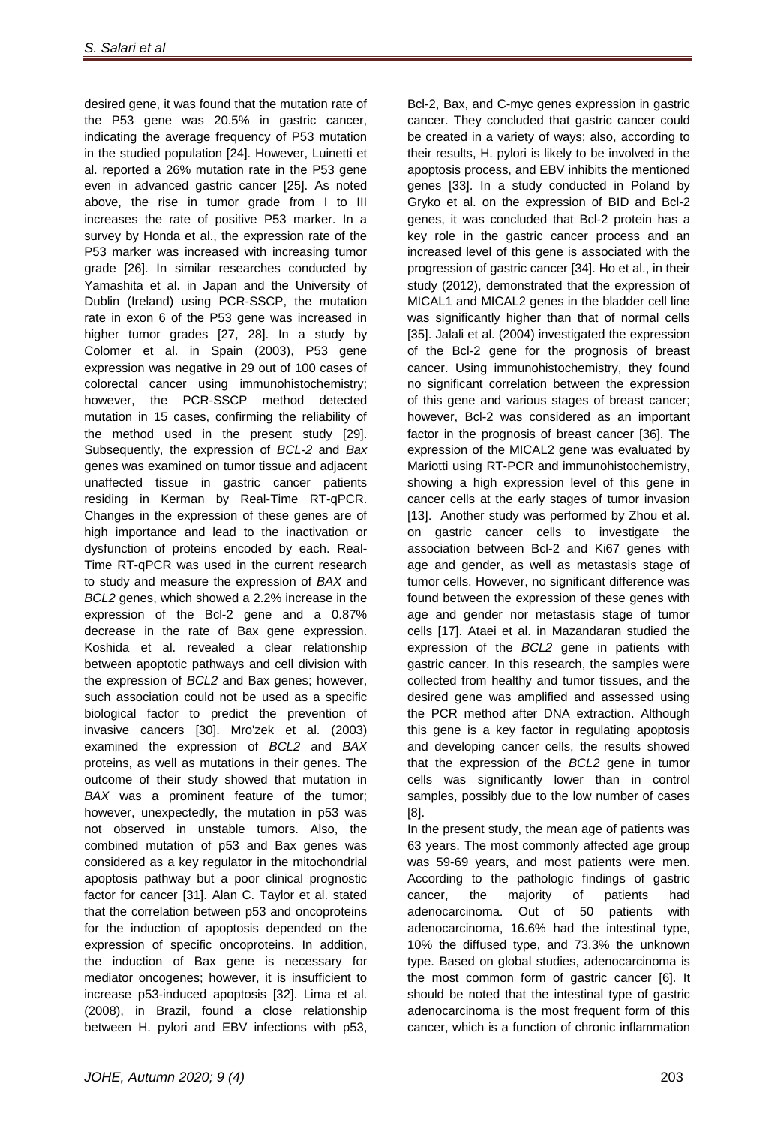desired gene, it was found that the mutation rate of the P53 gene was 20.5% in gastric cancer, indicating the average frequency of P53 mutation in the studied population [24]. However, Luinetti et al. reported a 26% mutation rate in the P53 gene even in advanced gastric cancer [25]. As noted above, the rise in tumor grade from I to III increases the rate of positive P53 marker. In a survey by Honda et al., the expression rate of the P53 marker was increased with increasing tumor grade [26]. In similar researches conducted by Yamashita et al. in Japan and the University of Dublin (Ireland) using PCR-SSCP, the mutation rate in exon 6 of the P53 gene was increased in higher tumor grades [27, 28]. In a study by Colomer et al. in Spain (2003), P53 gene expression was negative in 29 out of 100 cases of colorectal cancer using immunohistochemistry; however, the PCR-SSCP method detected mutation in 15 cases, confirming the reliability of the method used in the present study [29]. Subsequently, the expression of *BCL-2* and *Bax* genes was examined on tumor tissue and adjacent unaffected tissue in gastric cancer patients residing in Kerman by Real-Time RT-qPCR. Changes in the expression of these genes are of high importance and lead to the inactivation or dysfunction of proteins encoded by each. Real-Time RT-qPCR was used in the current research to study and measure the expression of *BAX* and *BCL2* genes, which showed a 2.2% increase in the expression of the Bcl-2 gene and a 0.87% decrease in the rate of Bax gene expression. Koshida et al. revealed a clear relationship between apoptotic pathways and cell division with the expression of *BCL2* and Bax genes; however, such association could not be used as a specific biological factor to predict the prevention of invasive cancers [30]. Mro'zek et al. (2003) examined the expression of *BCL2* and *BAX* proteins, as well as mutations in their genes. The outcome of their study showed that mutation in *BAX* was a prominent feature of the tumor; however, unexpectedly, the mutation in p53 was not observed in unstable tumors. Also, the combined mutation of p53 and Bax genes was considered as a key regulator in the mitochondrial apoptosis pathway but a poor clinical prognostic factor for cancer [31]. Alan C. Taylor et al. stated that the correlation between p53 and oncoproteins for the induction of apoptosis depended on the expression of specific oncoproteins. In addition, the induction of Bax gene is necessary for mediator oncogenes; however, it is insufficient to increase p53-induced apoptosis [32]. Lima et al. (2008), in Brazil, found a close relationship between H. pylori and EBV infections with p53,

Bcl-2, Bax, and C-myc genes expression in gastric cancer. They concluded that gastric cancer could be created in a variety of ways; also, according to their results, H. pylori is likely to be involved in the apoptosis process, and EBV inhibits the mentioned genes [33]. In a study conducted in Poland by Gryko et al. on the expression of BID and Bcl-2 genes, it was concluded that Bcl-2 protein has a key role in the gastric cancer process and an increased level of this gene is associated with the progression of gastric cancer [34]. Ho et al., in their study (2012), demonstrated that the expression of MICAL1 and MICAL2 genes in the bladder cell line was significantly higher than that of normal cells [35]. Jalali et al. (2004) investigated the expression of the Bcl-2 gene for the prognosis of breast cancer. Using immunohistochemistry, they found no significant correlation between the expression of this gene and various stages of breast cancer; however, Bcl-2 was considered as an important factor in the prognosis of breast cancer [36]. The expression of the MICAL2 gene was evaluated by Mariotti using RT-PCR and immunohistochemistry, showing a high expression level of this gene in cancer cells at the early stages of tumor invasion [\[13\]](#page-10-12). Another study was performed by Zhou et al. on gastric cancer cells to investigate the association between Bcl-2 and Ki67 genes with age and gender, as well as metastasis stage of tumor cells. However, no significant difference was found between the expression of these genes with age and gender nor metastasis stage of tumor cells [\[17\]](#page-11-0). Ataei et al. in Mazandaran studied the expression of the *BCL2* gene in patients with gastric cancer. In this research, the samples were collected from healthy and tumor tissues, and the desired gene was amplified and assessed using the PCR method after DNA extraction. Although this gene is a key factor in regulating apoptosis and developing cancer cells, the results showed that the expression of the *BCL2* gene in tumor cells was significantly lower than in control samples, possibly due to the low number of cases [\[8\]](#page-10-7).

In the present study, the mean age of patients was 63 years. The most commonly affected age group was 59-69 years, and most patients were men. According to the pathologic findings of gastric cancer, the majority of patients had adenocarcinoma. Out of 50 patients with adenocarcinoma, 16.6% had the intestinal type, 10% the diffused type, and 73.3% the unknown type. Based on global studies, adenocarcinoma is the most common form of gastric cancer [\[6\]](#page-10-5). It should be noted that the intestinal type of gastric adenocarcinoma is the most frequent form of this cancer, which is a function of chronic inflammation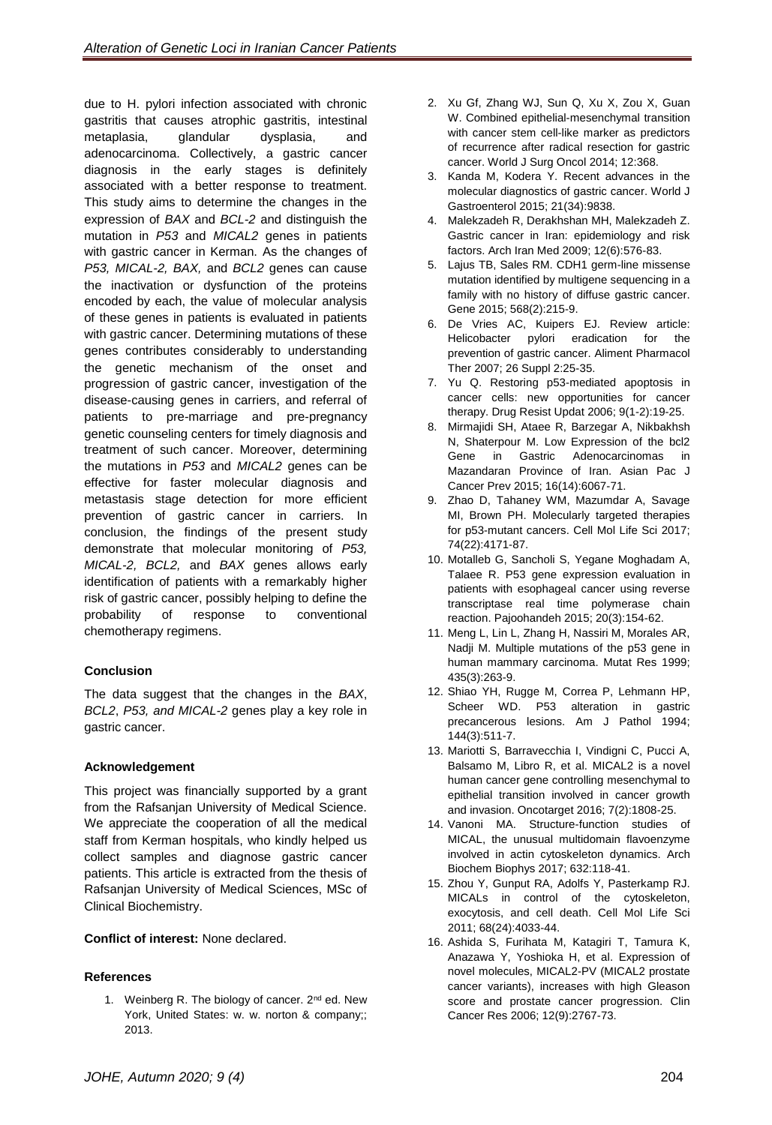due to H. pylori infection associated with chronic gastritis that causes atrophic gastritis, intestinal metaplasia, glandular dysplasia, and adenocarcinoma. Collectively, a gastric cancer diagnosis in the early stages is definitely associated with a better response to treatment. This study aims to determine the changes in the expression of *BAX* and *BCL-2* and distinguish the mutation in *P53* and *MICAL2* genes in patients with gastric cancer in Kerman. As the changes of *P53, MICAL-2, BAX,* and *BCL2* genes can cause the inactivation or dysfunction of the proteins encoded by each, the value of molecular analysis of these genes in patients is evaluated in patients with gastric cancer. Determining mutations of these genes contributes considerably to understanding the genetic mechanism of the onset and progression of gastric cancer, investigation of the disease-causing genes in carriers, and referral of patients to pre-marriage and pre-pregnancy genetic counseling centers for timely diagnosis and treatment of such cancer. Moreover, determining the mutations in *P53* and *MICAL2* genes can be effective for faster molecular diagnosis and metastasis stage detection for more efficient prevention of gastric cancer in carriers. In conclusion, the findings of the present study demonstrate that molecular monitoring of *P53, MICAL-2, BCL2,* and *BAX* genes allows early identification of patients with a remarkably higher risk of gastric cancer, possibly helping to define the probability of response to conventional chemotherapy regimens.

# **Conclusion**

The data suggest that the changes in the *BAX*, *BCL2*, *P53, and MICAL-2* genes play a key role in gastric cancer.

# **Acknowledgement**

This project was financially supported by a grant from the Rafsanjan University of Medical Science. We appreciate the cooperation of all the medical staff from Kerman hospitals, who kindly helped us collect samples and diagnose gastric cancer patients. This article is extracted from the thesis of Rafsanjan University of Medical Sciences, MSc of Clinical Biochemistry.

# **Conflict of interest:** None declared.

# **References**

<span id="page-10-0"></span>1. Weinberg R. The biology of cancer. 2<sup>nd</sup> ed. New York, United States: w. w. norton & company;; 2013.

- <span id="page-10-1"></span>2. Xu Gf, Zhang WJ, Sun Q, Xu X, Zou X, Guan W. Combined epithelial-mesenchymal transition with cancer stem cell-like marker as predictors of recurrence after radical resection for gastric cancer. World J Surg Oncol 2014; 12:368.
- <span id="page-10-2"></span>3. Kanda M, Kodera Y. Recent advances in the molecular diagnostics of gastric cancer. World J Gastroenterol 2015; 21(34):9838.
- <span id="page-10-3"></span>4. Malekzadeh R, Derakhshan MH, Malekzadeh Z. Gastric cancer in Iran: epidemiology and risk factors. Arch Iran Med 2009; 12(6):576-83.
- <span id="page-10-4"></span>5. Lajus TB, Sales RM. CDH1 germ-line missense mutation identified by multigene sequencing in a family with no history of diffuse gastric cancer. Gene 2015; 568(2):215-9.
- <span id="page-10-5"></span>6. De Vries AC, Kuipers EJ. Review article: Helicobacter pylori eradication for the prevention of gastric cancer. Aliment Pharmacol Ther 2007; 26 Suppl 2:25-35.
- <span id="page-10-6"></span>7. Yu Q. Restoring p53-mediated apoptosis in cancer cells: new opportunities for cancer therapy. Drug Resist Updat 2006; 9(1-2):19-25.
- <span id="page-10-7"></span>8. Mirmajidi SH, Ataee R, Barzegar A, Nikbakhsh N, Shaterpour M. Low Expression of the bcl2 Gene in Gastric Adenocarcinomas in Mazandaran Province of Iran. Asian Pac J Cancer Prev 2015; 16(14):6067-71.
- <span id="page-10-8"></span>9. Zhao D, Tahaney WM, Mazumdar A, Savage MI, Brown PH. Molecularly targeted therapies for p53-mutant cancers. Cell Mol Life Sci 2017; 74(22):4171-87.
- <span id="page-10-9"></span>10. Motalleb G, Sancholi S, Yegane Moghadam A, Talaee R. P53 gene expression evaluation in patients with esophageal cancer using reverse transcriptase real time polymerase chain reaction. Pajoohandeh 2015; 20(3):154-62.
- <span id="page-10-10"></span>11. Meng L, Lin L, Zhang H, Nassiri M, Morales AR, Nadji M. Multiple mutations of the p53 gene in human mammary carcinoma. Mutat Res 1999; 435(3):263-9.
- <span id="page-10-11"></span>12. Shiao YH, Rugge M, Correa P, Lehmann HP, Scheer WD. P53 alteration in gastric precancerous lesions. Am J Pathol 1994; 144(3):511-7.
- <span id="page-10-12"></span>13. Mariotti S, Barravecchia I, Vindigni C, Pucci A, Balsamo M, Libro R, et al. MICAL2 is a novel human cancer gene controlling mesenchymal to epithelial transition involved in cancer growth and invasion. Oncotarget 2016; 7(2):1808-25.
- <span id="page-10-13"></span>14. Vanoni MA. Structure-function studies of MICAL, the unusual multidomain flavoenzyme involved in actin cytoskeleton dynamics. Arch Biochem Biophys 2017; 632:118-41.
- <span id="page-10-14"></span>15. Zhou Y, Gunput RA, Adolfs Y, Pasterkamp RJ. MICALs in control of the cytoskeleton, exocytosis, and cell death. Cell Mol Life Sci 2011; 68(24):4033-44.
- <span id="page-10-15"></span>16. Ashida S, Furihata M, Katagiri T, Tamura K, Anazawa Y, Yoshioka H, et al. Expression of novel molecules, MICAL2-PV (MICAL2 prostate cancer variants), increases with high Gleason score and prostate cancer progression. Clin Cancer Res 2006; 12(9):2767-73.